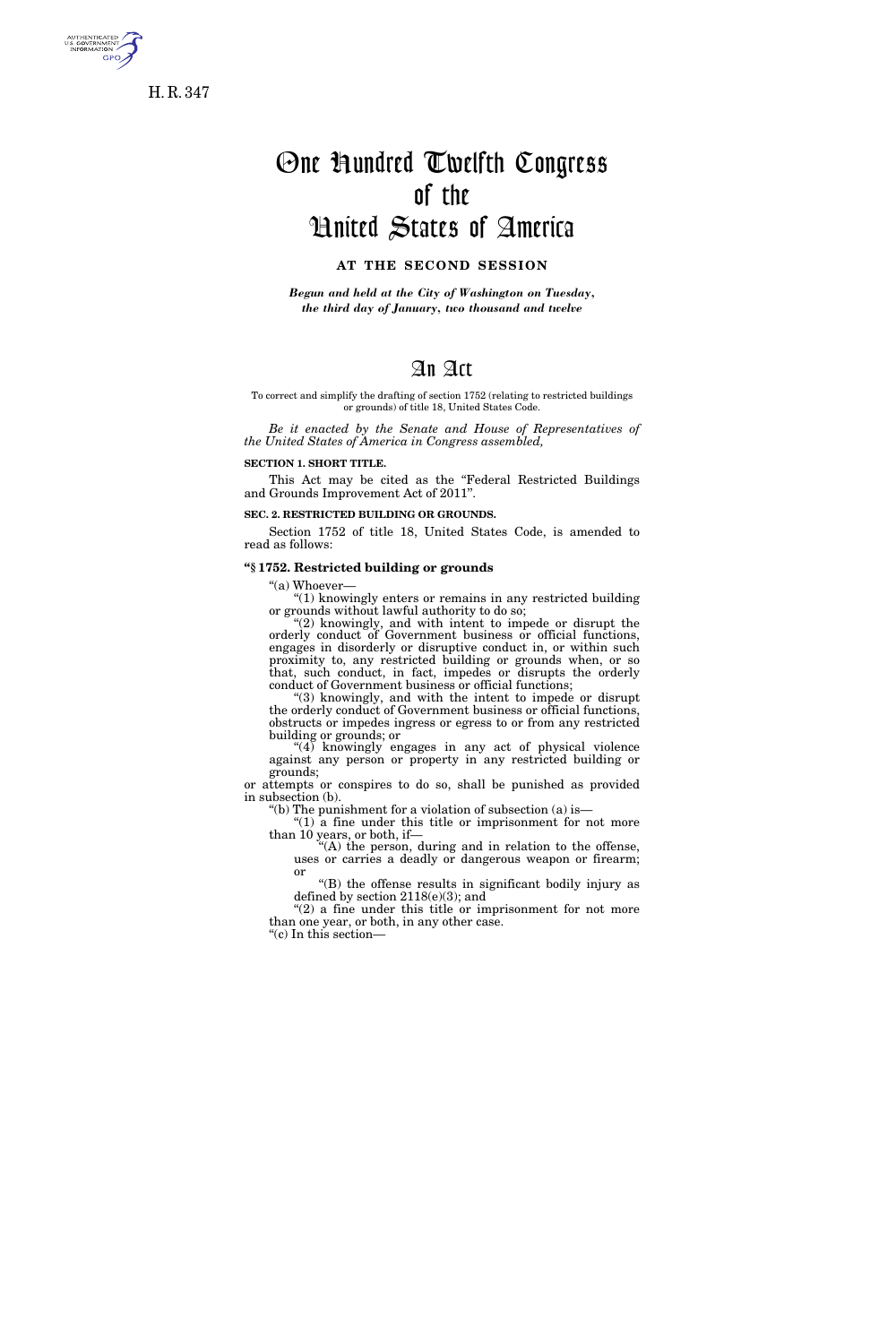

H. R. 347

# One Hundred Twelfth Congress of the United States of America

## **AT THE SECOND SESSION**

*Begun and held at the City of Washington on Tuesday, the third day of January, two thousand and twelve* 

### An Act

#### To correct and simplify the drafting of section 1752 (relating to restricted buildings or grounds) of title 18, United States Code.

*Be it enacted by the Senate and House of Representatives of the United States of America in Congress assembled,* 

#### **SECTION 1. SHORT TITLE.**

This Act may be cited as the "Federal Restricted Buildings and Grounds Improvement Act of 2011''.

**SEC. 2. RESTRICTED BUILDING OR GROUNDS.** 

Section 1752 of title 18, United States Code, is amended to read as follows:

#### **''§ 1752. Restricted building or grounds**

"(a) Whoever-

''(1) knowingly enters or remains in any restricted building or grounds without lawful authority to do so;

"(2) knowingly, and with intent to impede or disrupt the orderly conduct of Government business or official functions, engages in disorderly or disruptive conduct in, or within such proximity to, any restricted building or grounds when, or so that, such conduct, in fact, impedes or disrupts the orderly conduct of Government business or official functions;

''(3) knowingly, and with the intent to impede or disrupt the orderly conduct of Government business or official functions, obstructs or impedes ingress or egress to or from any restricted building or grounds; or

"(4) knowingly engages in any act of physical violence against any person or property in any restricted building or grounds;

or attempts or conspires to do so, shall be punished as provided in subsection (b).

''(b) The punishment for a violation of subsection (a) is— " $(1)$  a fine under this title or imprisonment for not more than 10 years, or both, if—

"(A) the person, during and in relation to the offense, uses or carries a deadly or dangerous weapon or firearm; or

''(B) the offense results in significant bodily injury as defined by section 2118(e)(3); and

''(2) a fine under this title or imprisonment for not more than one year, or both, in any other case. ''(c) In this section—